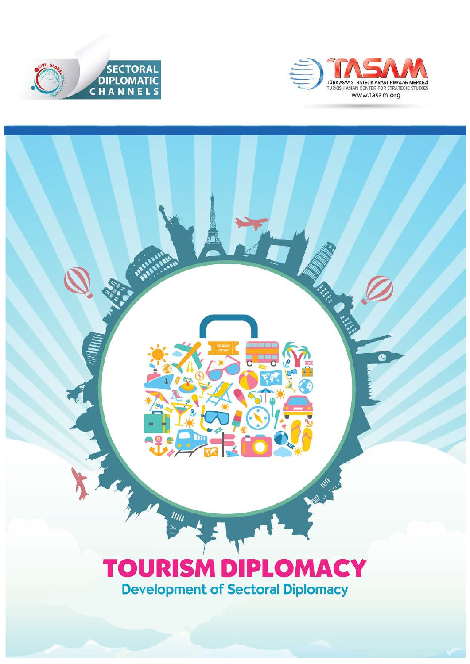



1999年1月

Ø

## **TOURISM DIPLOMACY Development of Sectoral Diplomacy**

 $\frac{1}{1}$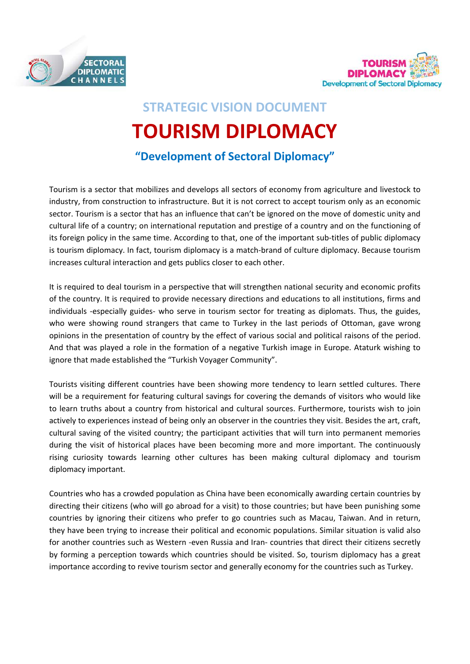



# **STRATEGIC VISION DOCUMENT TOURISM DIPLOMACY**

## **"Development of Sectoral Diplomacy"**

Tourism is a sector that mobilizes and develops all sectors of economy from agriculture and livestock to industry, from construction to infrastructure. But it is not correct to accept tourism only as an economic sector. Tourism is a sector that has an influence that can't be ignored on the move of domestic unity and cultural life of a country; on international reputation and prestige of a country and on the functioning of its foreign policy in the same time. According to that, one of the important sub-titles of public diplomacy is tourism diplomacy. In fact, tourism diplomacy is a match-brand of culture diplomacy. Because tourism increases cultural interaction and gets publics closer to each other.

It is required to deal tourism in a perspective that will strengthen national security and economic profits of the country. It is required to provide necessary directions and educations to all institutions, firms and individuals -especially guides- who serve in tourism sector for treating as diplomats. Thus, the guides, who were showing round strangers that came to Turkey in the last periods of Ottoman, gave wrong opinions in the presentation of country by the effect of various social and political raisons of the period. And that was played a role in the formation of a negative Turkish image in Europe. Ataturk wishing to ignore that made established the "Turkish Voyager Community".

Tourists visiting different countries have been showing more tendency to learn settled cultures. There will be a requirement for featuring cultural savings for covering the demands of visitors who would like to learn truths about a country from historical and cultural sources. Furthermore, tourists wish to join actively to experiences instead of being only an observer in the countries they visit. Besides the art, craft, cultural saving of the visited country; the participant activities that will turn into permanent memories during the visit of historical places have been becoming more and more important. The continuously rising curiosity towards learning other cultures has been making cultural diplomacy and tourism diplomacy important.

Countries who has a crowded population as China have been economically awarding certain countries by directing their citizens (who will go abroad for a visit) to those countries; but have been punishing some countries by ignoring their citizens who prefer to go countries such as Macau, Taiwan. And in return, they have been trying to increase their political and economic populations. Similar situation is valid also for another countries such as Western -even Russia and Iran- countries that direct their citizens secretly by forming a perception towards which countries should be visited. So, tourism diplomacy has a great importance according to revive tourism sector and generally economy for the countries such as Turkey.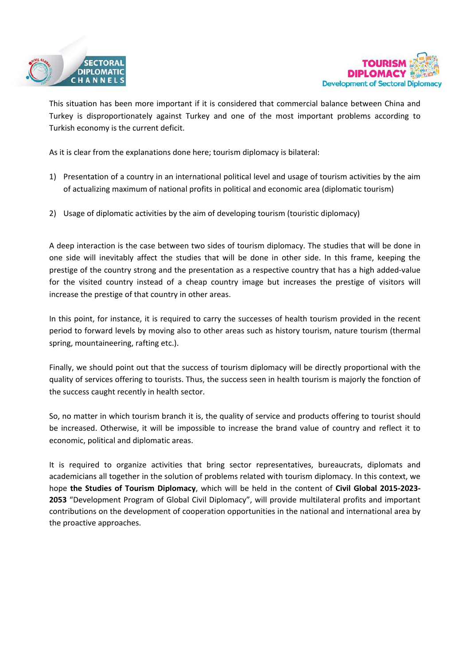



This situation has been more important if it is considered that commercial balance between China and Turkey is disproportionately against Turkey and one of the most important problems according to Turkish economy is the current deficit.

As it is clear from the explanations done here; tourism diplomacy is bilateral:

- 1) Presentation of a country in an international political level and usage of tourism activities by the aim of actualizing maximum of national profits in political and economic area (diplomatic tourism)
- 2) Usage of diplomatic activities by the aim of developing tourism (touristic diplomacy)

A deep interaction is the case between two sides of tourism diplomacy. The studies that will be done in one side will inevitably affect the studies that will be done in other side. In this frame, keeping the prestige of the country strong and the presentation as a respective country that has a high added-value for the visited country instead of a cheap country image but increases the prestige of visitors will increase the prestige of that country in other areas.

In this point, for instance, it is required to carry the successes of health tourism provided in the recent period to forward levels by moving also to other areas such as history tourism, nature tourism (thermal spring, mountaineering, rafting etc.).

Finally, we should point out that the success of tourism diplomacy will be directly proportional with the quality of services offering to tourists. Thus, the success seen in health tourism is majorly the fonction of the success caught recently in health sector.

So, no matter in which tourism branch it is, the quality of service and products offering to tourist should be increased. Otherwise, it will be impossible to increase the brand value of country and reflect it to economic, political and diplomatic areas.

It is required to organize activities that bring sector representatives, bureaucrats, diplomats and academicians all together in the solution of problems related with tourism diplomacy. In this context, we hope **the Studies of Tourism Diplomacy**, which will be held in the content of **Civil Global 2015-2023- 2053** "Development Program of Global Civil Diplomacy", will provide multilateral profits and important contributions on the development of cooperation opportunities in the national and international area by the proactive approaches.